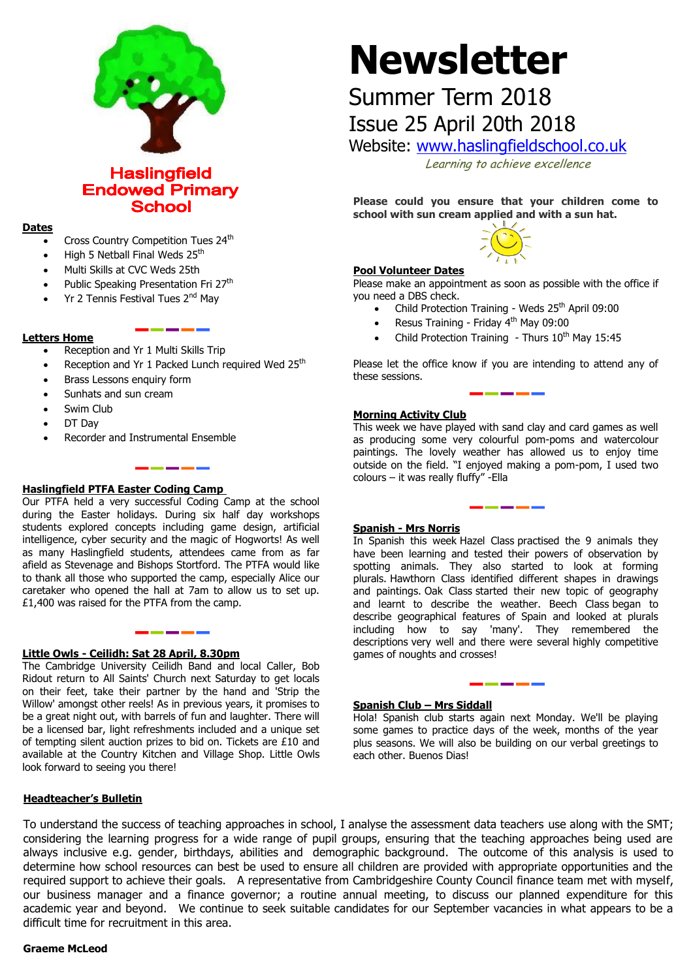

**Haslingfield Endowed Primary School** 

### **Dates**

- Cross Country Competition Tues 24<sup>th</sup>
- High 5 Netball Final Weds 25<sup>th</sup>
- Multi Skills at CVC Weds 25th
- Public Speaking Presentation Fri 27<sup>th</sup>
- Yr 2 Tennis Festival Tues 2<sup>nd</sup> May

### **Letters Home**

- Reception and Yr 1 Multi Skills Trip
- Reception and Yr 1 Packed Lunch required Wed 25<sup>th</sup>
- Brass Lessons enquiry form
- Sunhats and sun cream
- Swim Club
- DT Day
- Recorder and Instrumental Ensemble

# **Haslingfield PTFA Easter Coding Camp**

Our PTFA held a very successful Coding Camp at the school during the Easter holidays. During six half day workshops students explored concepts including game design, artificial intelligence, cyber security and the magic of Hogworts! As well as many Haslingfield students, attendees came from as far afield as Stevenage and Bishops Stortford. The PTFA would like to thank all those who supported the camp, especially Alice our caretaker who opened the hall at 7am to allow us to set up. £1,400 was raised for the PTFA from the camp.

--------

# **Little Owls - Ceilidh: Sat 28 April, 8.30pm**

The Cambridge University Ceilidh Band and local Caller, Bob Ridout return to All Saints' Church next Saturday to get locals on their feet, take their partner by the hand and 'Strip the Willow' amongst other reels! As in previous years, it promises to be a great night out, with barrels of fun and laughter. There will be a licensed bar, light refreshments included and a unique set of tempting silent auction prizes to bid on. Tickets are £10 and available at the Country Kitchen and Village Shop. Little Owls look forward to seeing you there!

# **Headteacher's Bulletin**

# **Newsletter**

# Summer Term 2018 Issue 25 April 20th 2018

Website: [www.haslingfieldschool.co.uk](http://www.haslingfieldschool.co.uk/)

Learning to achieve excellence

**Please could you ensure that your children come to school with sun cream applied and with a sun hat.**



# **Pool Volunteer Dates**

Please make an appointment as soon as possible with the office if you need a DBS check.

- Child Protection Training Weds  $25<sup>th</sup>$  April 09:00
- Resus Training Friday 4<sup>th</sup> May 09:00
- Child Protection Training Thurs  $10^{th}$  May 15:45

Please let the office know if you are intending to attend any of these sessions.

# **Morning Activity Club**

This week we have played with sand clay and card games as well as producing some very colourful pom-poms and watercolour paintings. The lovely weather has allowed us to enjoy time outside on the field. "I enjoyed making a pom-pom, I used two colours – it was really fluffy" -Ella

### **Spanish - Mrs Norris**

 In Spanish this week Hazel Class practised the 9 animals they spotting animals. They also started to look at forming have been learning and tested their powers of observation by plurals. Hawthorn Class identified different shapes in drawings and paintings. Oak Class started their new topic of geography and learnt to describe the weather. Beech Class began to describe geographical features of Spain and looked at plurals including how to say 'many'. They remembered the descriptions very well and there were several highly competitive games of noughts and crosses!

### **Spanish Club – Mrs Siddall**

Hola! Spanish club starts again next Monday. We'll be playing some games to practice days of the week, months of the year plus seasons. We will also be building on our verbal greetings to each other. Buenos Dias!

<u> The Common School and School and School and School and School and School and School and School and School and School</u>

To understand the success of teaching approaches in school, I analyse the assessment data teachers use along with the SMT; considering the learning progress for a wide range of pupil groups, ensuring that the teaching approaches being used are always inclusive e.g. gender, birthdays, abilities and demographic background. The outcome of this analysis is used to determine how school resources can best be used to ensure all children are provided with appropriate opportunities and the required support to achieve their goals. A representative from Cambridgeshire County Council finance team met with myself, our business manager and a finance governor; a routine annual meeting, to discuss our planned expenditure for this academic year and beyond. We continue to seek suitable candidates for our September vacancies in what appears to be a difficult time for recruitment in this area.

### **Graeme McLeod**